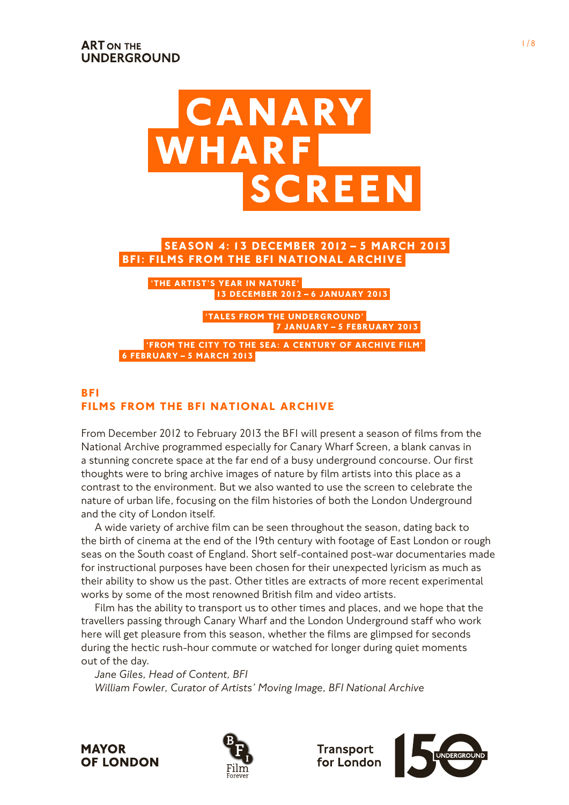

# **BFI: Films from the BFI National Archive Season 4: 13 December 2012 – 5 March 2013**

**13 December 2012 – 6 January 2013 'The Artist's Year in Nature'**

> **7 January – 5 February 2013 'Tales from the UNDERGROUND'**

**6 February – 5 March 2013 'from the City to the Sea: a Century of Archive Film'**

# **BFI Films from the BFI National Archive**

From December 2012 to February 2013 the BFI will present a season of films from the National Archive programmed especially for Canary Wharf Screen, a blank canvas in a stunning concrete space at the far end of a busy underground concourse. Our first thoughts were to bring archive images of nature by film artists into this place as a contrast to the environment. But we also wanted to use the screen to celebrate the nature of urban life, focusing on the film histories of both the London Underground and the city of London itself.

A wide variety of archive film can be seen throughout the season, dating back to the birth of cinema at the end of the 19th century with footage of East London or rough seas on the South coast of England. Short self-contained post-war documentaries made for instructional purposes have been chosen for their unexpected lyricism as much as their ability to show us the past. Other titles are extracts of more recent experimental works by some of the most renowned British film and video artists.

Film has the ability to transport us to other times and places, and we hope that the travellers passing through Canary Wharf and the London Underground staff who work here will get pleasure from this season, whether the films are glimpsed for seconds during the hectic rush-hour commute or watched for longer during quiet moments out of the day.

*Jane Giles, Head of Content, BFI William Fowler, Curator of Artists' Moving Image, BFI National Archive*





**Transport** for London

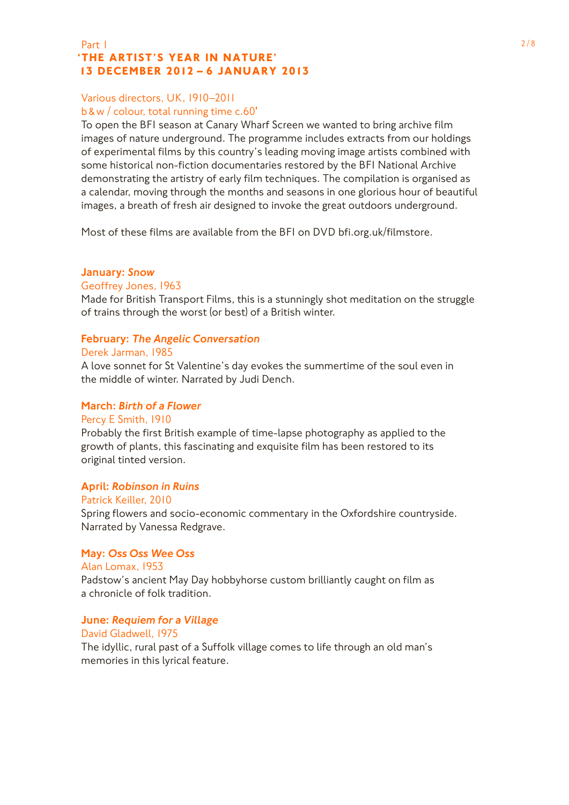### Part  $1$  2/8  **'The Artist's Year in Nature' 13 December 2012 – 6 January 2013**

## Various directors, UK, 1910–2011

## b &w / colour, total running time c.60′

To open the BFI season at Canary Wharf Screen we wanted to bring archive film images of nature underground. The programme includes extracts from our holdings of experimental films by this country's leading moving image artists combined with some historical non-fiction documentaries restored by the BFI National Archive demonstrating the artistry of early film techniques. The compilation is organised as a calendar, moving through the months and seasons in one glorious hour of beautiful images, a breath of fresh air designed to invoke the great outdoors underground.

Most of these films are available from the BFI on DVD bfi.org.uk/filmstore.

## January: *Snow*

#### Geoffrey Jones, 1963

Made for British Transport Films, this is a stunningly shot meditation on the struggle of trains through the worst (or best) of a British winter.

### February: *The Angelic Conversation*

### Derek Jarman, 1985

A love sonnet for St Valentine's day evokes the summertime of the soul even in the middle of winter. Narrated by Judi Dench.

### March: *Birth of a Flower*

### Percy E Smith, 1910

Probably the first British example of time-lapse photography as applied to the growth of plants, this fascinating and exquisite film has been restored to its original tinted version.

### April: *Robinson in Ruins*

#### Patrick Keiller, 2010

Spring flowers and socio-economic commentary in the Oxfordshire countryside. Narrated by Vanessa Redgrave.

### May: *Oss Oss Wee Oss*

## Alan Lomax, 1953 Padstow's ancient May Day hobbyhorse custom brilliantly caught on film as a chronicle of folk tradition.

### June: *Requiem for a Village*

### David Gladwell, 1975

The idyllic, rural past of a Suffolk village comes to life through an old man's memories in this lyrical feature.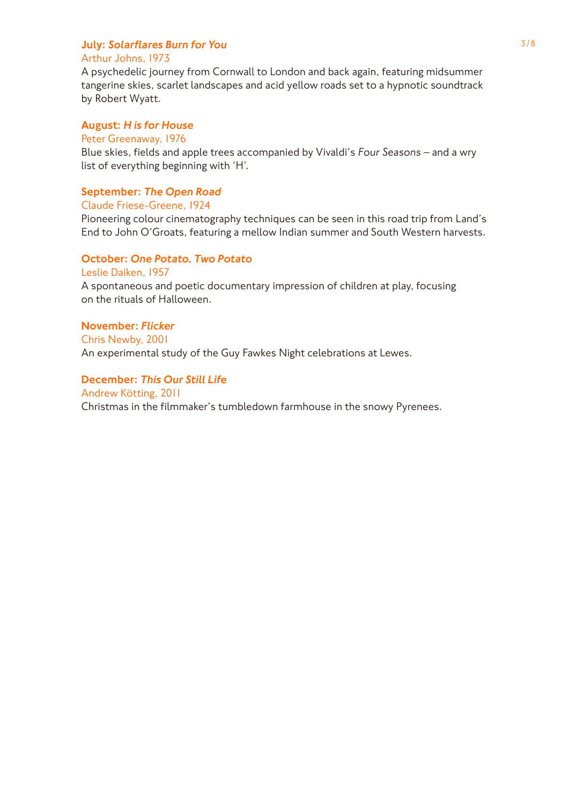# **July: Solarflares Burn for You** 3/8

# Arthur Johns, 1973

A psychedelic journey from Cornwall to London and back again, featuring midsummer tangerine skies, scarlet landscapes and acid yellow roads set to a hypnotic soundtrack by Robert Wyatt.

## August: *H is for House*

## Peter Greenaway, 1976

Blue skies, fields and apple trees accompanied by Vivaldi's *Four Seasons* – and a wry list of everything beginning with 'H'.

# September: *The Open Road*

## Claude Friese-Greene, 1924

Pioneering colour cinematography techniques can be seen in this road trip from Land's End to John O'Groats, featuring a mellow Indian summer and South Western harvests.

## October: *One Potato, Two Potato*

Leslie Daiken, 1957

A spontaneous and poetic documentary impression of children at play, focusing on the rituals of Halloween.

## November: *Flicker*

Chris Newby, 2001 An experimental study of the Guy Fawkes Night celebrations at Lewes.

# December: *This Our Still Life*

Andrew Kötting, 2011 Christmas in the filmmaker's tumbledown farmhouse in the snowy Pyrenees.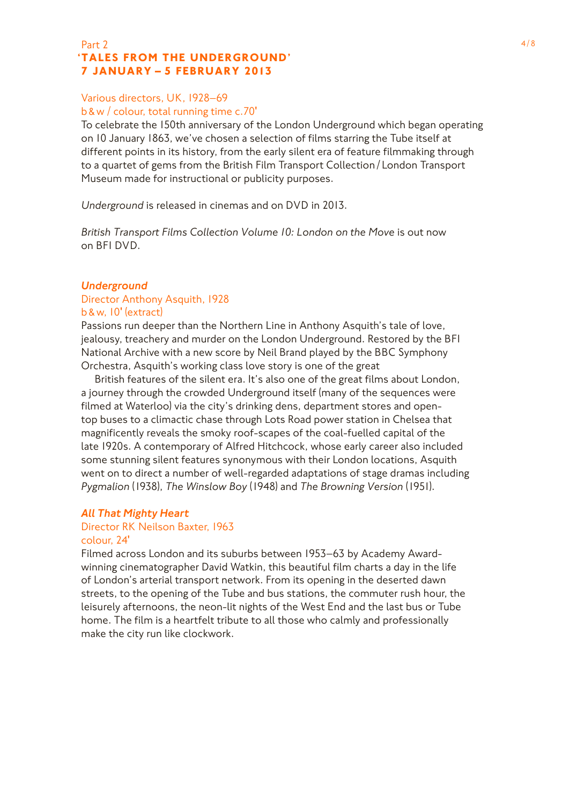## Part 2  $4/8$  **'Tales from the Underground' 7 January – 5 February 2013**

# Various directors, UK, 1928–69

# b &w / colour, total running time c.70′

To celebrate the 150th anniversary of the London Underground which began operating on 10 January 1863, we've chosen a selection of films starring the Tube itself at different points in its history, from the early silent era of feature filmmaking through to a quartet of gems from the British Film Transport Collection / London Transport Museum made for instructional or publicity purposes.

*Underground* is released in cinemas and on DVD in 2013.

*British Transport Films Collection Volume 10: London on the Move* is out now on BFI DVD.

# *Underground*

#### Director Anthony Asquith, 1928 b &w, 10′ (extract)

Passions run deeper than the Northern Line in Anthony Asquith's tale of love, jealousy, treachery and murder on the London Underground. Restored by the BFI National Archive with a new score by Neil Brand played by the BBC Symphony Orchestra, Asquith's working class love story is one of the great

British features of the silent era. It's also one of the great films about London, a journey through the crowded Underground itself (many of the sequences were filmed at Waterloo) via the city's drinking dens, department stores and opentop buses to a climactic chase through Lots Road power station in Chelsea that magnificently reveals the smoky roof-scapes of the coal-fuelled capital of the late 1920s. A contemporary of Alfred Hitchcock, whose early career also included some stunning silent features synonymous with their London locations, Asquith went on to direct a number of well-regarded adaptations of stage dramas including *Pygmalion* (1938), *The Winslow Boy* (1948) and *The Browning Version* (1951).

### *All That Mighty Heart*

#### Director RK Neilson Baxter, 1963 colour, 24′

Filmed across London and its suburbs between 1953–63 by Academy Awardwinning cinematographer David Watkin, this beautiful film charts a day in the life of London's arterial transport network. From its opening in the deserted dawn streets, to the opening of the Tube and bus stations, the commuter rush hour, the leisurely afternoons, the neon-lit nights of the West End and the last bus or Tube home. The film is a heartfelt tribute to all those who calmly and professionally make the city run like clockwork.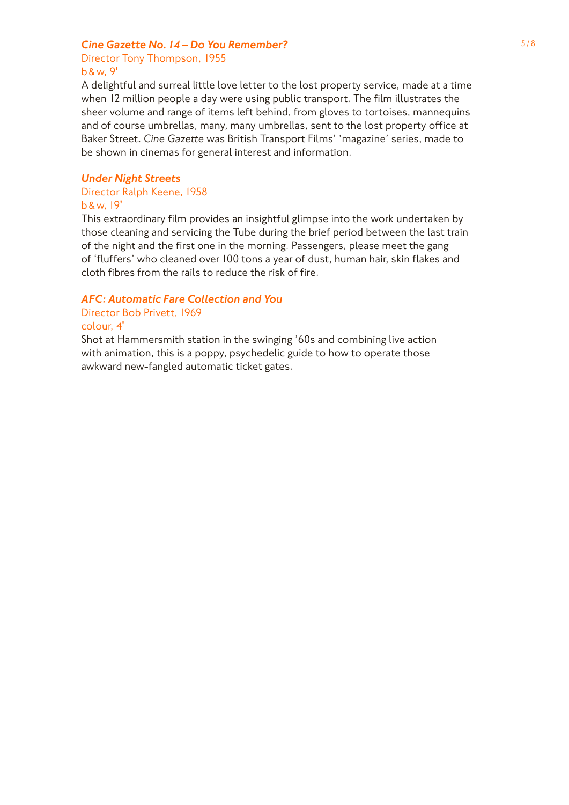# **Cine Gazette No. 14 – Do You Remember?** 5/8

Director Tony Thompson, 1955 b &w, 9′

A delightful and surreal little love letter to the lost property service, made at a time when 12 million people a day were using public transport. The film illustrates the sheer volume and range of items left behind, from gloves to tortoises, mannequins and of course umbrellas, many, many umbrellas, sent to the lost property office at Baker Street. *Cine Gazette* was British Transport Films' 'magazine' series, made to be shown in cinemas for general interest and information.

## *Under Night Streets*

#### Director Ralph Keene, 1958 b &w, 19′

This extraordinary film provides an insightful glimpse into the work undertaken by those cleaning and servicing the Tube during the brief period between the last train of the night and the first one in the morning. Passengers, please meet the gang of 'fluffers' who cleaned over 100 tons a year of dust, human hair, skin flakes and cloth fibres from the rails to reduce the risk of fire.

# *AFC: Automatic Fare Collection and You*

Director Bob Privett, 1969

### colour, 4′

Shot at Hammersmith station in the swinging '60s and combining live action with animation, this is a poppy, psychedelic guide to how to operate those awkward new-fangled automatic ticket gates.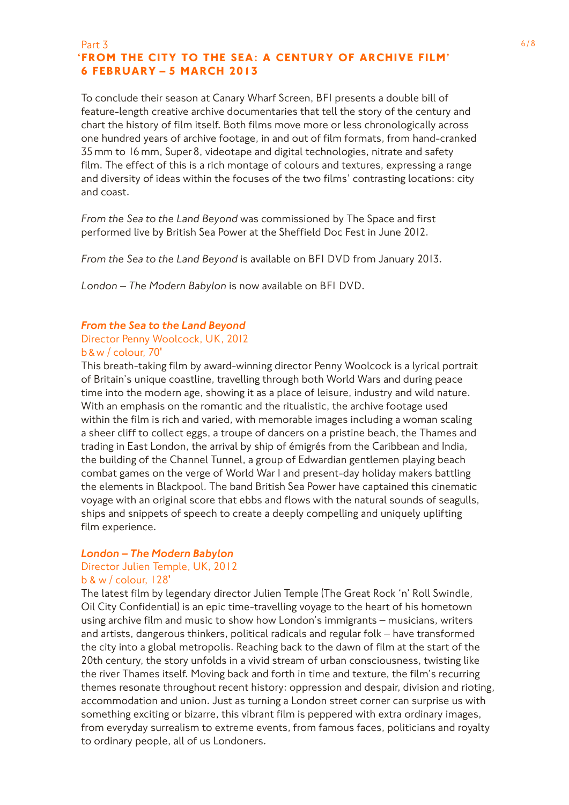#### Part  $\overline{3}$  6/8  **'From the City to the Sea: a Century of Archive Film' 6 February – 5 March 2013**

To conclude their season at Canary Wharf Screen, BFI presents a double bill of feature-length creative archive documentaries that tell the story of the century and chart the history of film itself. Both films move more or less chronologically across one hundred years of archive footage, in and out of film formats, from hand-cranked 35mm to 16mm, Super 8, videotape and digital technologies, nitrate and safety film. The effect of this is a rich montage of colours and textures, expressing a range and diversity of ideas within the focuses of the two films' contrasting locations: city and coast.

*From the Sea to the Land Beyond* was commissioned by The Space and first performed live by British Sea Power at the Sheffield Doc Fest in June 2012.

*From the Sea to the Land Beyond* is available on BFI DVD from January 2013.

*London – The Modern Babylon* is now available on BFI DVD.

#### *From the Sea to the Land Beyond*

# Director Penny Woolcock, UK, 2012

#### b &w / colour, 70′

This breath-taking film by award-winning director Penny Woolcock is a lyrical portrait of Britain's unique coastline, travelling through both World Wars and during peace time into the modern age, showing it as a place of leisure, industry and wild nature. With an emphasis on the romantic and the ritualistic, the archive footage used within the film is rich and varied, with memorable images including a woman scaling a sheer cliff to collect eggs, a troupe of dancers on a pristine beach, the Thames and trading in East London, the arrival by ship of émigrés from the Caribbean and India, the building of the Channel Tunnel, a group of Edwardian gentlemen playing beach combat games on the verge of World War I and present-day holiday makers battling the elements in Blackpool. The band British Sea Power have captained this cinematic voyage with an original score that ebbs and flows with the natural sounds of seagulls, ships and snippets of speech to create a deeply compelling and uniquely uplifting film experience.

#### *London – The Modern Babylon*

#### Director Julien Temple, UK, 2012 b & w / colour, 128′

The latest film by legendary director Julien Temple (The Great Rock 'n' Roll Swindle, Oil City Confidential) is an epic time-travelling voyage to the heart of his hometown using archive film and music to show how London's immigrants – musicians, writers and artists, dangerous thinkers, political radicals and regular folk – have transformed the city into a global metropolis. Reaching back to the dawn of film at the start of the 20th century, the story unfolds in a vivid stream of urban consciousness, twisting like the river Thames itself. Moving back and forth in time and texture, the film's recurring themes resonate throughout recent history: oppression and despair, division and rioting, accommodation and union. Just as turning a London street corner can surprise us with something exciting or bizarre, this vibrant film is peppered with extra ordinary images, from everyday surrealism to extreme events, from famous faces, politicians and royalty to ordinary people, all of us Londoners.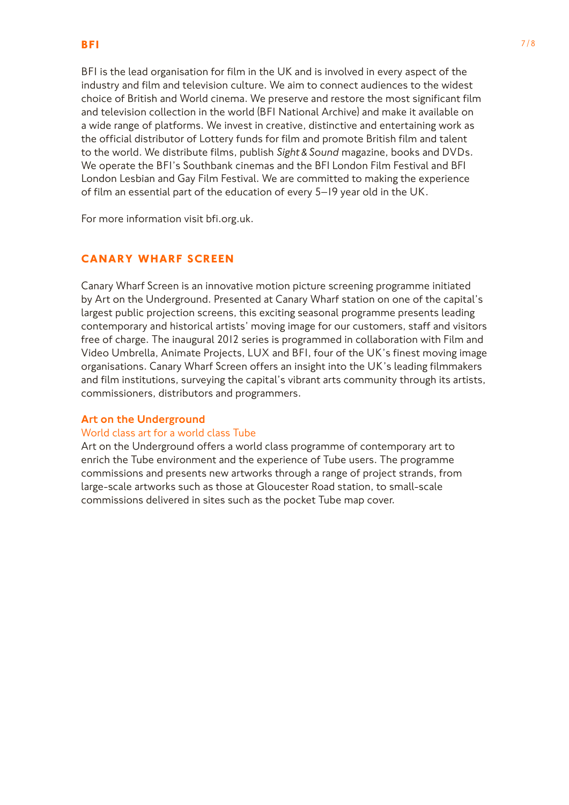BFI is the lead organisation for film in the UK and is involved in every aspect of the industry and film and television culture. We aim to connect audiences to the widest choice of British and World cinema. We preserve and restore the most significant film and television collection in the world (BFI National Archive) and make it available on a wide range of platforms. We invest in creative, distinctive and entertaining work as the official distributor of Lottery funds for film and promote British film and talent to the world. We distribute films, publish *Sight & Sound* magazine, books and DVDs. We operate the BFI's Southbank cinemas and the BFI London Film Festival and BFI London Lesbian and Gay Film Festival. We are committed to making the experience of film an essential part of the education of every 5–19 year old in the UK.

For more information visit bfi.org.uk.

# **Canary Wharf Screen**

Canary Wharf Screen is an innovative motion picture screening programme initiated by Art on the Underground. Presented at Canary Wharf station on one of the capital's largest public projection screens, this exciting seasonal programme presents leading contemporary and historical artists' moving image for our customers, staff and visitors free of charge. The inaugural 2012 series is programmed in collaboration with Film and Video Umbrella, Animate Projects, LUX and BFI, four of the UK's finest moving image organisations. Canary Wharf Screen offers an insight into the UK's leading filmmakers and film institutions, surveying the capital's vibrant arts community through its artists, commissioners, distributors and programmers.

#### Art on the Underground

#### World class art for a world class Tube

Art on the Underground offers a world class programme of contemporary art to enrich the Tube environment and the experience of Tube users. The programme commissions and presents new artworks through a range of project strands, from large-scale artworks such as those at Gloucester Road station, to small-scale commissions delivered in sites such as the pocket Tube map cover.